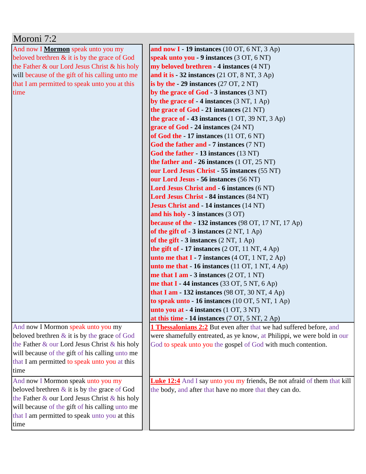| Moroni 7:2                                      |                                                                          |
|-------------------------------------------------|--------------------------------------------------------------------------|
| And now I Mormon speak unto you my              | and now $I - 19$ instances (10 OT, 6 NT, 3 Ap)                           |
| beloved brethren $\&$ it is by the grace of God | speak unto you - 9 instances (3 OT, 6 NT)                                |
| the Father & our Lord Jesus Christ & his holy   | my beloved brethren - 4 instances (4 NT)                                 |
| will because of the gift of his calling unto me | and it is $-32$ instances (21 OT, 8 NT, 3 Ap)                            |
| that I am permitted to speak unto you at this   | is by the $-29$ instances (27 OT, 2 NT)                                  |
| time                                            | by the grace of $God - 3$ instances $(3 NT)$                             |
|                                                 | by the grace of $-4$ instances (3 NT, 1 Ap)                              |
|                                                 | the grace of God - 21 instances (21 NT)                                  |
|                                                 | the grace of $-43$ instances (1 OT, 39 NT, 3 Ap)                         |
|                                                 | grace of God - 24 instances (24 NT)                                      |
|                                                 | of God the $-17$ instances (11 OT, 6 NT)                                 |
|                                                 | God the father and - 7 instances (7 NT)                                  |
|                                                 | God the father - 13 instances (13 NT)                                    |
|                                                 | the father and $-26$ instances $(1 OT, 25 NT)$                           |
|                                                 | our Lord Jesus Christ - 55 instances (55 NT)                             |
|                                                 | our Lord Jesus - 56 instances (56 NT)                                    |
|                                                 | Lord Jesus Christ and - 6 instances (6 NT)                               |
|                                                 | Lord Jesus Christ - 84 instances (84 NT)                                 |
|                                                 | <b>Jesus Christ and - 14 instances (14 NT)</b>                           |
|                                                 | and his holy - 3 instances (3 OT)                                        |
|                                                 | <b>because of the - 132 instances</b> (98 OT, 17 NT, 17 Ap)              |
|                                                 | of the gift of $-3$ instances $(2 \text{ NT}, 1 \text{ Ap})$             |
|                                                 | of the gift $-3$ instances $(2 \text{ NT}, 1 \text{ Ap})$                |
|                                                 | the gift of $-17$ instances $(2 OT, 11 NT, 4 Ap)$                        |
|                                                 | <b>unto me that I</b> - 7 instances $(4 OT, 1 NT, 2 Ap)$                 |
|                                                 | unto me that $-16$ instances (11 OT, 1 NT, 4 Ap)                         |
|                                                 | me that I am $-3$ instances $(2 OT, 1 NT)$                               |
|                                                 | me that $I - 44$ instances (33 OT, 5 NT, 6 Ap)                           |
|                                                 | that I am - 132 instances $(98 \text{ OT}, 30 \text{ NT}, 4 \text{ Ap})$ |
|                                                 | to speak unto $-16$ instances (10 OT, 5 NT, 1 Ap)                        |
|                                                 | unto you at - 4 instances (1 OT, 3 NT)                                   |
|                                                 | at this time $-14$ instances (7 OT, 5 NT, 2 Ap)                          |
| And now I Mormon speak unto you my              | 1 Thessalonians 2:2 But even after that we had suffered before, and      |
| beloved brethren $\&$ it is by the grace of God | were shamefully entreated, as ye know, at Philippi, we were bold in our  |
| the Father & our Lord Jesus Christ & his holy   | God to speak unto you the gospel of God with much contention.            |
| will because of the gift of his calling unto me |                                                                          |
| that I am permitted to speak unto you at this   |                                                                          |
| time                                            |                                                                          |
| And now I Mormon speak unto you my              | Luke 12:4 And I say unto you my friends, Be not afraid of them that kill |
| beloved brethren $\&$ it is by the grace of God | the body, and after that have no more that they can do.                  |
| the Father & our Lord Jesus Christ & his holy   |                                                                          |
| will because of the gift of his calling unto me |                                                                          |
| that I am permitted to speak unto you at this   |                                                                          |
| time                                            |                                                                          |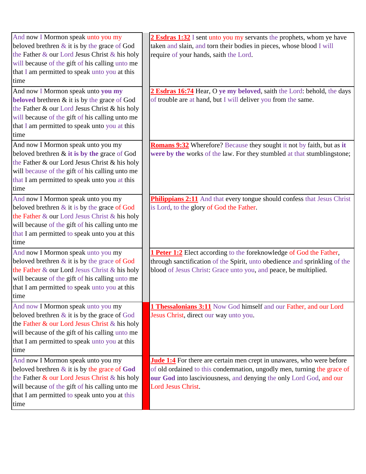| And now I Mormon speak unto you my<br>beloved brethren $\&$ it is by the grace of God<br>the Father & our Lord Jesus Christ & his holy                                                                                                             | 2 Esdras 1:32 I sent unto you my servants the prophets, whom ye have<br>taken and slain, and torn their bodies in pieces, whose blood I will<br>require of your hands, saith the Lord.                                                               |
|----------------------------------------------------------------------------------------------------------------------------------------------------------------------------------------------------------------------------------------------------|------------------------------------------------------------------------------------------------------------------------------------------------------------------------------------------------------------------------------------------------------|
| will because of the gift of his calling unto me<br>that I am permitted to speak unto you at this<br>time                                                                                                                                           |                                                                                                                                                                                                                                                      |
| And now I Mormon speak unto you my<br>beloved brethren & it is by the grace of God<br>the Father & our Lord Jesus Christ & his holy<br>will because of the gift of his calling unto me<br>that I am permitted to speak unto you at this<br>time    | 2 Esdras 16:74 Hear, O ye my beloved, saith the Lord: behold, the days<br>of trouble are at hand, but I will deliver you from the same.                                                                                                              |
| And now I Mormon speak unto you my<br>beloved brethren & it is by the grace of God<br>the Father & our Lord Jesus Christ & his holy<br>will because of the gift of his calling unto me<br>that I am permitted to speak unto you at this<br>time    | <b>Romans 9:32</b> Wherefore? Because they sought it not by faith, but as it<br>were by the works of the law. For they stumbled at that stumblingstone;                                                                                              |
| And now I Mormon speak unto you my<br>beloved brethren & it is by the grace of God<br>the Father & our Lord Jesus Christ & his holy<br>will because of the gift of his calling unto me<br>that I am permitted to speak unto you at this<br>time    | Philippians 2:11 And that every tongue should confess that Jesus Christ<br>is Lord, to the glory of God the Father.                                                                                                                                  |
| And now I Mormon speak unto you my<br>beloved brethren $\&$ it is by the grace of God<br>the Father & our Lord Jesus Christ & his holy<br>will because of the gift of his calling unto me<br>that I am permitted to speak unto you at this<br>time | 1 Peter 1:2 Elect according to the foreknowledge of God the Father,<br>through sanctification of the Spirit, unto obedience and sprinkling of the<br>blood of Jesus Christ: Grace unto you, and peace, be multiplied.                                |
| And now I Mormon speak unto you my<br>beloved brethren $\&$ it is by the grace of God<br>the Father & our Lord Jesus Christ & his holy<br>will because of the gift of his calling unto me<br>that I am permitted to speak unto you at this<br>time | 1 Thessalonians 3:11 Now God himself and our Father, and our Lord<br>Jesus Christ, direct our way unto you.                                                                                                                                          |
| And now I Mormon speak unto you my<br>beloved brethren $\&$ it is by the grace of God<br>the Father & our Lord Jesus Christ & his holy<br>will because of the gift of his calling unto me<br>that I am permitted to speak unto you at this<br>time | <b>Jude 1:4</b> For there are certain men crept in unawares, who were before<br>of old ordained to this condemnation, ungodly men, turning the grace of<br>our God into lasciviousness, and denying the only Lord God, and our<br>Lord Jesus Christ. |